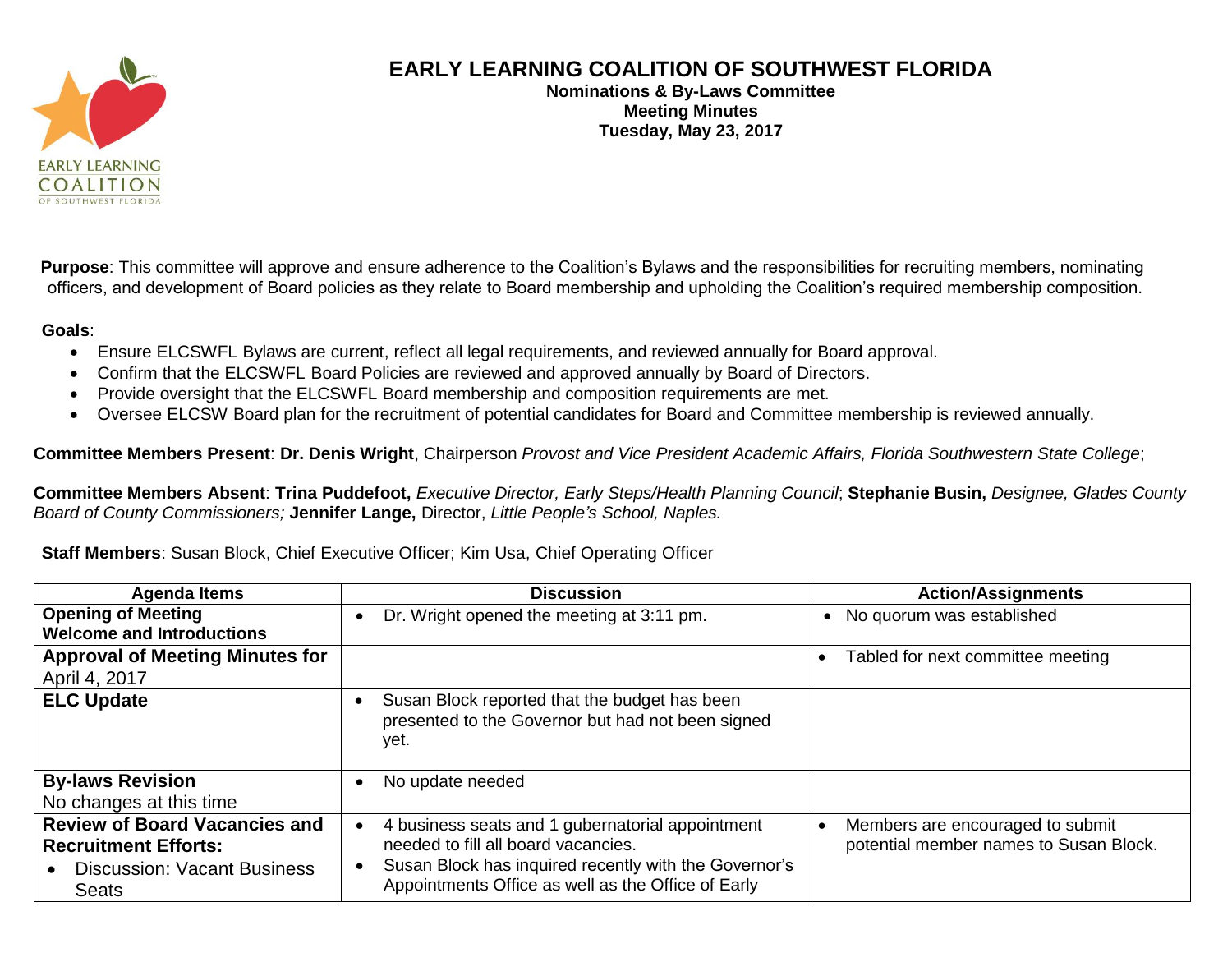

## **EARLY LEARNING COALITION OF SOUTHWEST FLORIDA**

**Nominations & By-Laws Committee Meeting Minutes Tuesday, May 23, 2017**

**Purpose**: This committee will approve and ensure adherence to the Coalition's Bylaws and the responsibilities for recruiting members, nominating officers, and development of Board policies as they relate to Board membership and upholding the Coalition's required membership composition.

## **Goals**:

- Ensure ELCSWFL Bylaws are current, reflect all legal requirements, and reviewed annually for Board approval.
- Confirm that the ELCSWFL Board Policies are reviewed and approved annually by Board of Directors.
- Provide oversight that the ELCSWFL Board membership and composition requirements are met.
- Oversee ELCSW Board plan for the recruitment of potential candidates for Board and Committee membership is reviewed annually.

**Committee Members Present**: **Dr. Denis Wright**, Chairperson *Provost and Vice President Academic Affairs, Florida Southwestern State College*;

**Committee Members Absent**: **Trina Puddefoot,** *Executive Director, Early Steps/Health Planning Council*; **Stephanie Busin,** *Designee, Glades County Board of County Commissioners;* **Jennifer Lange,** Director, *Little People's School, Naples.*

**Staff Members**: Susan Block, Chief Executive Officer; Kim Usa, Chief Operating Officer

| <b>Agenda Items</b>                                                                                                       | <b>Discussion</b>                                                                                                                                                                                      | <b>Action/Assignments</b>                                                  |
|---------------------------------------------------------------------------------------------------------------------------|--------------------------------------------------------------------------------------------------------------------------------------------------------------------------------------------------------|----------------------------------------------------------------------------|
| <b>Opening of Meeting</b>                                                                                                 | Dr. Wright opened the meeting at 3:11 pm.                                                                                                                                                              | • No quorum was established                                                |
| <b>Welcome and Introductions</b>                                                                                          |                                                                                                                                                                                                        |                                                                            |
| <b>Approval of Meeting Minutes for</b>                                                                                    |                                                                                                                                                                                                        | Tabled for next committee meeting                                          |
| April 4, 2017                                                                                                             |                                                                                                                                                                                                        |                                                                            |
| <b>ELC Update</b>                                                                                                         | Susan Block reported that the budget has been<br>presented to the Governor but had not been signed<br>yet.                                                                                             |                                                                            |
| <b>By-laws Revision</b>                                                                                                   | No update needed                                                                                                                                                                                       |                                                                            |
| No changes at this time                                                                                                   |                                                                                                                                                                                                        |                                                                            |
| <b>Review of Board Vacancies and</b><br><b>Recruitment Efforts:</b><br><b>Discussion: Vacant Business</b><br><b>Seats</b> | 4 business seats and 1 gubernatorial appointment<br>needed to fill all board vacancies.<br>Susan Block has inquired recently with the Governor's<br>Appointments Office as well as the Office of Early | Members are encouraged to submit<br>potential member names to Susan Block. |